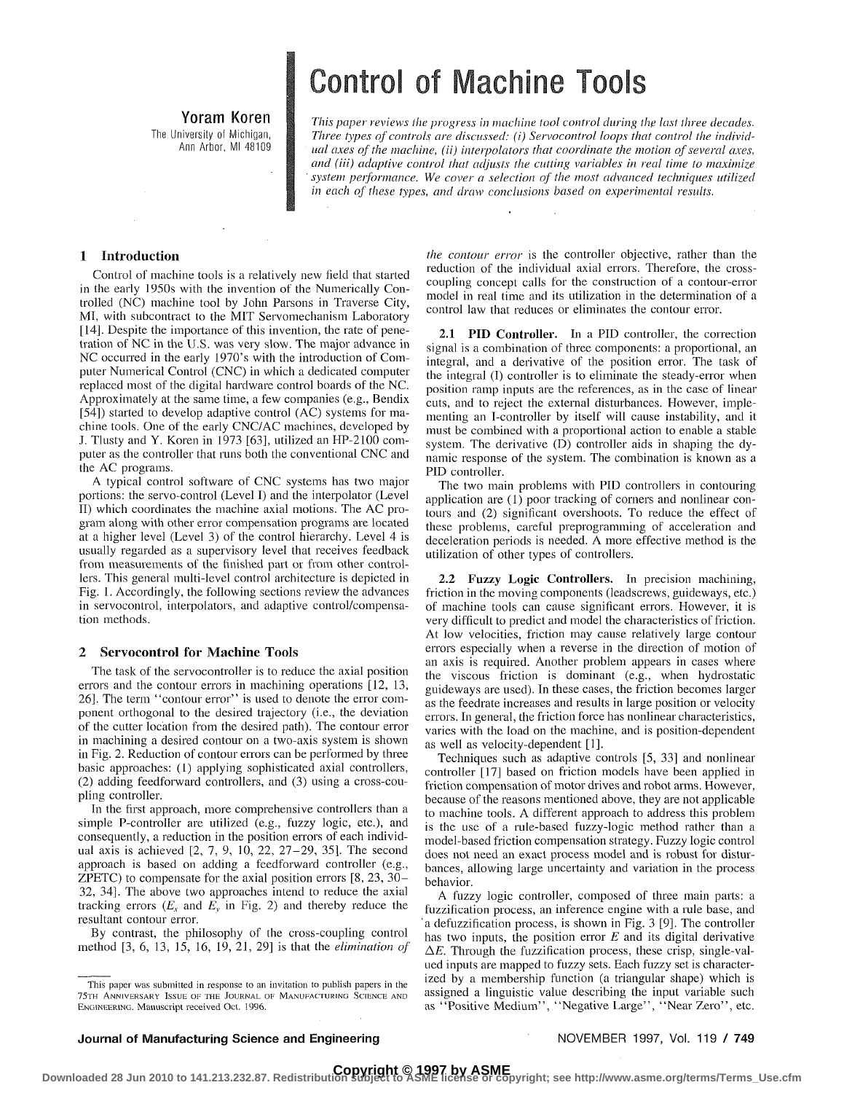Yoram Koren

The University of Michigan, Ann Arbor, Ml 48109

# Control of Machine Tools

*This paper reviews the progress in machine tool control during the last three decades. Three types of controls are discussed: (i) Servocontrol loops that control the individual axes of the machine, (ii) interpolators that coordinate the motion of several axes, and (iii) adaptive control that adjusts the cutting variables in real time to maximize system performance. We cover a selection of the most advanced techniques utilized in each of these types, and draw conclusions based on experimental results.* 

# **1 Introduction**

Control of machine tools is a relatively new field that started in the early 1950s with the invention of the Numerically Controlled (NC) machine tool by John Parsons in Traverse City, MI, with subcontract to the MIT Servomechanism Laboratory [14]. Despite the importance of this invention, the rate of penetration of NC in the U.S. was very slow. The major advance in NC occurred in the early 1970's with the introduction of Computer Numerical Control (CNC) in which a dedicated computer replaced most of the digital hardware control boards of the NC. Approximately at the same time, a few companies (e.g., Bendix  $[54]$ ) started to develop adaptive control  $(AC)$  systems for machine tools. One of the early CNC/AC machines, developed by J. Tlusty and Y. Koren in 1973 [63], utilized an HP-2100 computer as the controller that runs both the conventional CNC and the AC programs.

A typical control software of CNC systems has two major portions: the servo-control (Level I) and the interpolator (Level II) which coordinates the machine axial motions. The AC program along with other error compensation programs are located at a higher level (Level 3) of the control hierarchy. Level 4 is usually regarded as a supervisory level that receives feedback from measurements of the finished part or from other controllers. This general multi-level control architecture is depicted in Fig. 1. Accordingly, the following sections review the advances in servocontrol, interpolators, and adaptive control/compensation methods.

# 2 **Servocontrol for** Machine **Tools**

The task of the servocontroller is to reduce the axial position errors and the contour errors in machining operations [12, 13, 26]. The term "contour error" is used to denote the error component orthogonal to the desired trajectory (i.e., the deviation of the cutter location from the desired path). The contour error in machining a desired contour on a two-axis system is shown in Fig. 2. Reduction of contour errors can be performed by three basic approaches: (1) applying sophisticated axial controllers, (2) adding feedforward controllers, and (3) using a cross-coupling controller.

In the first approach, more comprehensive controllers than a simple P-controller are utilized (e.g., fuzzy logic, etc.), and consequently, a reduction in the position errors of each individual axis is achieved [2, 7, 9, 10, 22, 27-29, 35]. The second approach is based on adding a feedforward controller (e.g., ZPETC) to compensate for the axial position errors [8, 23, 30 - 32, 34]. The above two approaches intend to reduce the axial tracking errors  $(E_x \text{ and } E_y \text{ in Fig. 2})$  and thereby reduce the resultant contour error.

By contrast, the philosophy of the cross-coupling control method [3, 6, 13, 15, 16, 19, 21, 29] is that the *elimination of* 

*the contour error* is the controller objective, rather than the reduction of the individual axial errors. Therefore, the crosscoupling concept calls for the construction of a contour-error model in real time and its utilization in the determination of a control law that reduces or eliminates the contour error.

**2.1 PID Controller.** In a PID controller, the correction signal is a combination of three components: a proportional, an integral, and a derivative of the position error. The task of the integral (I) controller is to eliminate the steady-error when position ramp inputs are the references, as in the case of linear cuts, and to reject the external disturbances. However, implementing an I-controller by itself will cause instability, and it must be combined with a proportional action to enable a stable system. The derivative (D) controller aids in shaping the dynamic response of the system. The combination is known as a PID controller.

The two main problems with PID controllers in contouring application are (1) poor tracking of corners and nonlinear contours and (2) significant overshoots. To reduce the effect of these problems, careful preprogramming of acceleration and deceleration periods is needed. A more effective method is the utilization of other types of controllers.

2.2 **Fuzzy Logic Controllers.** In precision machining, friction in the moving components (leadscrews, guideways, etc.) of machine tools can cause significant errors. However, it is very difficult to predict and model the characteristics of friction. At low velocities, friction may cause relatively large contour errors especially when a reverse in the direction of motion of an axis is required. Another problem appears in cases where the viscous friction is dominant (e.g., when hydrostatic guideways are used). In these cases, the friction becomes larger as the feedrate increases and results in large position or velocity errors. In general, the friction force has nonlinear characteristics, varies with the load on the machine, and is position-dependent as well as velocity-dependent [1].

Techniques such as adaptive controls [5, 33] and nonlinear controller [17] based on friction models have been applied in friction compensation of motor drives and robot arms. However, because of the reasons mentioned above, they are not applicable to machine tools. A different approach to address this problem is the use of a rule-based fuzzy-logic method rather than a model-based friction compensation strategy. Fuzzy logic control does not need an exact process model and is robust for disturbances, allowing large uncertainty and variation in the process behavior.

A fuzzy logic controller, composed of three main parts: a fuzzification process, an inference engine with a rule base, and a defuzzification process, is shown in Fig. 3 [9]. The controller has two inputs, the position error *E* and its digital derivative  $\Delta E$ . Through the fuzzification process, these crisp, single-valued inputs are mapped to fuzzy sets. Each fuzzy set is characterized by a membership function (a triangular shape) which is assigned a linguistic value describing the input variable such as "Positive Medium", "Negative Large", "Near Zero", etc.

This paper was submitted in response to an invitation to publish papers in the 75TH ANNIVERSARY ISSUE OF THE JOURNAL OF MANUFACTURING SCIENCE AND ENGINEERING. Manuscript received Oct. 1996.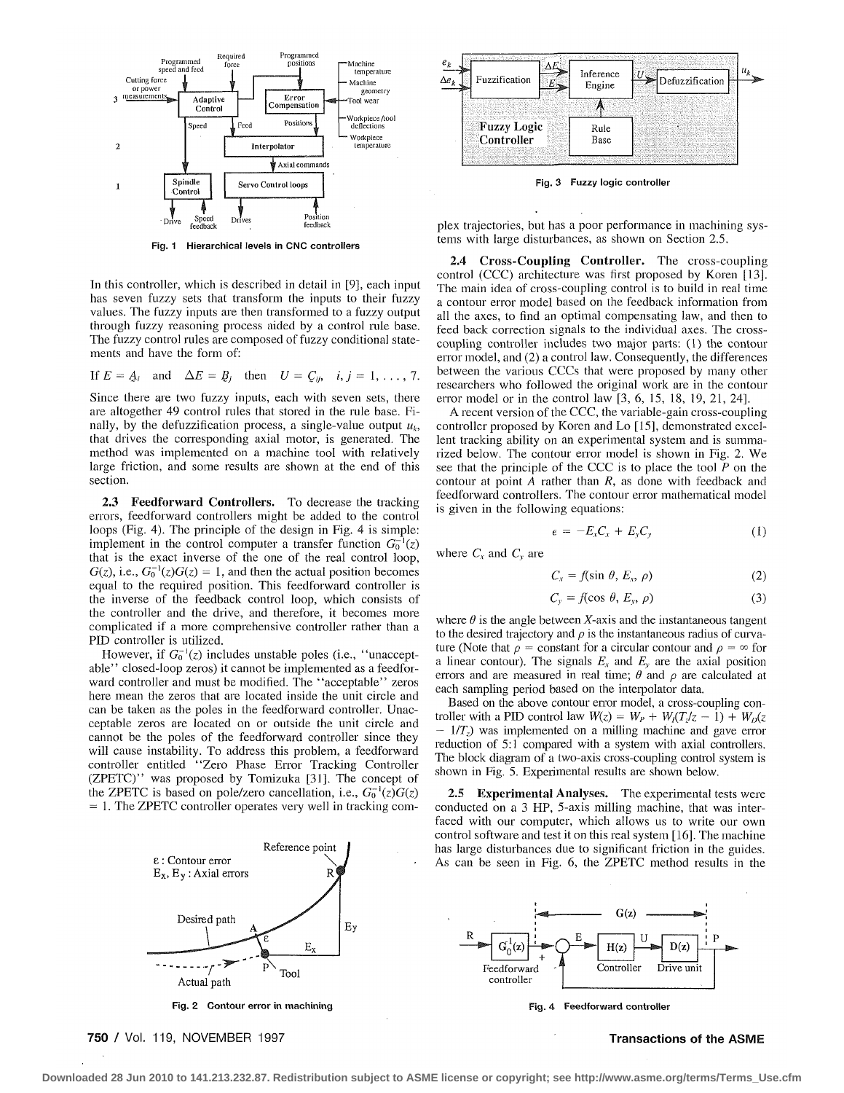

Fig. 1 Hierarchical levels in CNC controllers

In this controller, which is described in detail in [9], each input has seven fuzzy sets that transform the inputs to their fuzzy values. The fuzzy inputs are then transformed to a fuzzy output through fuzzy reasoning process aided by a control rule base. The fuzzy control rules are composed of fuzzy conditional statements and have the form of:

If 
$$
E = A_i
$$
 and  $\Delta E = B_j$  then  $U = C_{ij}$ ,  $i, j = 1, ..., 7$ .

Since there are two fuzzy inputs, each with seven sets, there are altogether 49 control rules that stored in the rule base. Finally, by the defuzzification process, a single-value output  $u_k$ , that drives the corresponding axial motor, is generated. The method was implemented on a machine tool with relatively large friction, and some results are shown at the end of this section.

**2.3 Feedforward Controllers.** To decrease the tracking errors, feedforward controllers might be added to the control loops (Fig. 4). The principle of the design in Fig. 4 is simple: implement in the control computer a transfer function  $G_0^{-1}(z)$ that is the exact inverse of the one of the real control loop,  $G(z)$ , i.e.,  $G_0^{-1}(z)G(z) = 1$ , and then the actual position becomes equal to the required position. This feedforward controller is the inverse of the feedback control loop, which consists of the controller and the drive, and therefore, it becomes more complicated if a more comprehensive controller rather than a PID controller is utilized.

However, if  $G_0^{-1}(z)$  includes unstable poles (i.e., "unacceptable" closed-loop zeros) it cannot be implemented as a feedforward controller and must be modified. The "acceptable" zeros here mean the zeros that are located inside the unit circle and can be taken as the poles in the feedforward controller. Unacceptable zeros are located on or outside the unit circle and cannot be the poles of the feedforward controller since they will cause instability. To address this problem, a feedforward controller entitled "Zero Phase Error Tracking Controller (ZPETC)" was proposed by Tomizuka [31]. The concept of the ZPETC is based on pole/zero cancellation, i.e.,  $G_0^{-1}(z)G(z)$ = 1. The ZPETC controller operates very well in tracking com-



**Fig. 2 Contour error in machining** 

750 / Vol. 119, NOVEMBER 1997 Transactions of the ASME



Fig. 3 Fuzzy logic controller

plex trajectories, but has a poor performance in machining systems with large disturbances, as shown on Section 2.5.

2.4 **Cross-Coupling Controller.** The cross-coupling control (CCC) architecture was first proposed by Koren [13]. The main idea of cross-coupling control is to build in real time a contour error model based on the feedback information from all the axes, to find an optimal compensating law, and then to feed back correction signals to the individual axes. The crosscoupling controller includes two major parts: (1) the contour error model, and (2) a control law. Consequently, the differences between the various CCCs that were proposed by many other researchers who followed the original work are in the contour error model or in the control law [3, 6, 15, 18, 19, 21, 24].

A recent version of the CCC, the variable-gain cross-coupling controller proposed by Koren and Lo [15], demonstrated excellent tracking ability on an experimental system and is summarized below. The contour error model is shown in Fig. 2. We see that the principle of the CCC is to place the tool *P* on the contour at point *A* rather than *R,* as done with feedback and feedforward controllers. The contour error mathematical model is given in the following equations:

$$
\epsilon = -E_x C_x + E_y C_y \tag{1}
$$

where  $C<sub>x</sub>$  and  $C<sub>y</sub>$  are

$$
C_x = f(\sin \theta, E_x, \rho) \tag{2}
$$

$$
C_y = f(\cos \theta, E_y, \rho) \tag{3}
$$

where  $\theta$  is the angle between X-axis and the instantaneous tangent to the desired trajectory and  $\rho$  is the instantaneous radius of curvature (Note that  $\rho =$  constant for a circular contour and  $\rho = \infty$  for a linear contour). The signals  $E_x$  and  $E_y$  are the axial position errors and are measured in real time;  $\theta$  and  $\rho$  are calculated at each sampling period based on the interpolator data.

Based on the above contour error model, a cross-coupling controller with a PID control law  $W(z) = W_P + W_I(T_z/z - 1) + W_D(z)$ *-* 1/T<sub>z</sub>) was implemented on a milling machine and gave error reduction of 5:1 compared with a system with axial controllers. The block diagram of a two-axis cross-coupling control system is shown in Fig. 5. Experimental results are shown below.

2.5 **Experimental Analyses.** The experimental tests were conducted on a 3 HP, 5-axis milling machine, that was interfaced with our computer, which allows us to write our own control software and test it on this real system [16]. The machine has large disturbances due to significant friction in the guides. As can be seen in Fig. 6, the ZPETC method results in the



Fig. 4 Feedforward controller

**Downloaded 28 Jun 2010 to 141.213.232.87. Redistribution subject to ASME license or copyright; see http://www.asme.org/terms/Terms\_Use.cfm**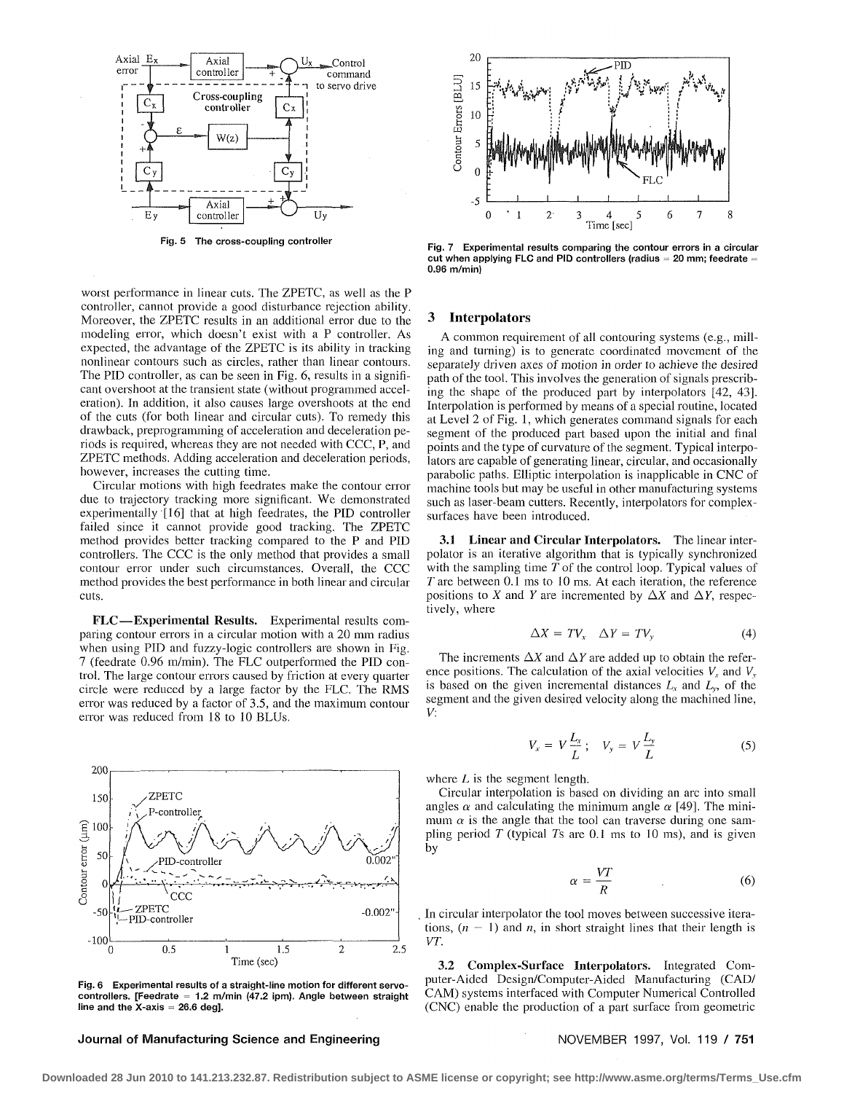

Fig. 5 The cross-coupling controller

worst performance in linear cuts. The ZPETC, as well as the P controller, cannot provide a good disturbance rejection ability. Moreover, the ZPETC results in an additional error due to the modeling error, which doesn't exist with a P controller. As expected, the advantage of the ZPETC is its ability in tracking nonlinear contours such as circles, rather than linear contours. The PID controller, as can be seen in Fig. 6, results in a significant overshoot at the transient state (without programmed acceleration). In addition, it also causes large overshoots at the end of the cuts (for both linear and circular cuts). To remedy this drawback, preprogramming of acceleration and deceleration periods is required, whereas they are not needed with CCC, P, and ZPETC methods. Adding acceleration and deceleration periods, however, increases the cutting time.

Circular motions with high feedrates make the contour error due to trajectory tracking more significant. We demonstrated experimentally'[16] that at high feedrates, the PID controller failed since it cannot provide good tracking. The ZPETC method provides better tracking compared to the P and PID controllers. The CCC is the only method that provides a small contour error under such circumstances. Overall, the CCC method provides the best performance in both linear and circular cuts.

**FLC**—**Experimental Results.** Experimental results comparing contour errors in a circular motion with a 20 mm radius when using PID and fuzzy-logic controllers are shown in Fig. 7 (feedrate 0.96 m/min). The FLC outperformed the PID control. The large contour errors caused by friction at every quarter circle were reduced by a large factor by the FLC. The RMS error was reduced by a factor of 3.5, and the maximum contour error was reduced from 18 to 10 BLUs.



Fig. 6 Experimental results of a straight-line motion for different servocontrollers. [Feedrate = 1.2 m/min (47.2 ipm). Angle between straight line and the  $X$ -axis = 26.6 deg].

## **Journal of Manufacturing Science and Engineering November 1997, Vol. 119 / 751**



Fig. 7 Experimental results comparing the contour errors in a circular cut when applying FLC and PID controllers (radius  $= 20$  mm; feedrate  $=$ 0.96 m/min)

# **3 Interpolators**

A common requirement of all contouring systems (e.g., milling and turning) is to generate coordinated movement of the separately driven axes of motion in order to achieve the desired path of the tool. This involves the generation of signals prescribing the shape of the produced part by interpolators [42, 43]. Interpolation is performed by means of a special routine, located at Level 2 of Fig. 1, which generates command signals for each segment of the produced part based upon the initial and final points and the type of curvature of the segment. Typical interpolators are capable of generating linear, circular, and occasionally parabolic paths. Elliptic interpolation is inapplicable in CNC of machine tools but may be useful in other manufacturing systems such as laser-beam cutters. Recently, interpolators for complexsurfaces have been introduced.

**3.1 Linear and Circular Interpolators.** The linear interpolator is an iterative algorithm that is typically synchronized with the sampling time *T* of the control loop. Typical values of *T* are between 0.1 ms to 10 ms. At each iteration, the reference positions to *X* and *Y* are incremented by  $\Delta X$  and  $\Delta Y$ , respectively, where

$$
\Delta X = TV_x \quad \Delta Y = TV_y \tag{4}
$$

The increments  $\Delta X$  and  $\Delta Y$  are added up to obtain the reference positions. The calculation of the axial velocities  $V_x$  and  $V_y$ is based on the given incremental distances  $L<sub>x</sub>$  and  $L<sub>y</sub>$ , of the segment and the given desired velocity along the machined line, *V:* 

$$
V_x = V \frac{L_x}{L}; \quad V_y = V \frac{L_y}{L}
$$
 (5)

where *L* is the segment length.

Circular interpolation is based on dividing an arc into small angles  $\alpha$  and calculating the minimum angle  $\alpha$  [49]. The minimum  $\alpha$  is the angle that the tool can traverse during one sampling period *T* (typical *Ts* are 0.1 ms to 10 ms), and is given by

$$
\alpha = \frac{VT}{R} \tag{6}
$$

In circular interpolator the tool moves between successive iterations,  $(n - 1)$  and *n*, in short straight lines that their length is *VT.* 

**3.2 Complex-Surface Interpolators.** Integrated Computer-Aided Design/Computer-Aided Manufacturing (CAD/ CAM) systems interfaced with Computer Numerical Controlled (CNC) enable the production of a part surface from geometric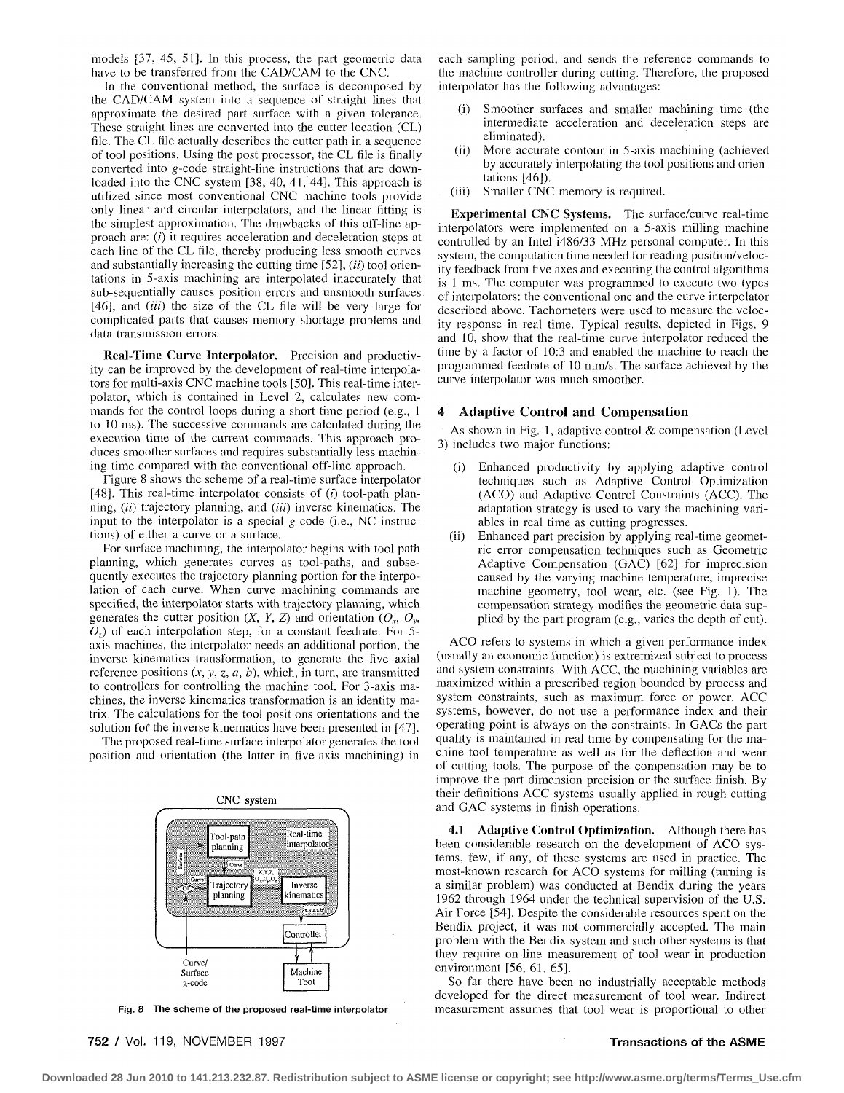models [37, 45, 51]. In this process, the part geometric data have to be transferred from the CAD/CAM to the CNC.

Tn the conventional method, the surface is decomposed by the CAD/CAM system into a sequence of straight lines that approximate the desired part surface with a given tolerance. These straight lines are converted into the cutter location (CL) file. The CL file actually describes the cutter path in a sequence of tool positions. Using the post processor, the CL file is finally converted into g-code straight-line instructions that are downloaded into the CNC system [38, 40, 41, 44]. This approach is utilized since most conventional CNC machine tools provide only linear and circular interpolators, and the linear fitting is the simplest approximation. The drawbacks of this off-line approach are:  $(i)$  it requires acceleration and deceleration steps at each line of the CL file, thereby producing less smooth curves and substantially increasing the cutting time [52], *(ii)* tool orientations in 5-axis machining are interpolated inaccurately that sub-sequentially causes position errors and unsmooth surfaces [46], and *(iii)* the size of the CL file will be very large for complicated parts that causes memory shortage problems and data transmission errors.

**Real-Time Curve Interpolator.** Precision and productivity can be improved by the development of real-time interpolators for multi-axis CNC machine tools [50]. This real-time interpolator, which is contained in Level 2, calculates new commands for the control loops during a short time period (e.g., 1 to 10 ms). The successive commands are calculated during the execution time of the current commands. This approach produces smoother surfaces and requires substantially less machining time compared with the conventional off-line approach.

Figure 8 shows the scheme of a real-time surface interpolator [48]. This real-time interpolator consists of  $(i)$  tool-path planning, *(ii)* trajectory planning, and *(iii)* inverse kinematics. The input to the interpolator is a special g-code (i.e., NC instructions) of either a curve or a surface.

For surface machining, the interpolator begins with tool path planning, which generates curves as tool-paths, and subsequently executes the trajectory planning portion for the interpolation of each curve. When curve machining commands are specified, the interpolator starts with trajectory planning, which generates the cutter position  $(X, Y, Z)$  and orientation  $(O_x, O_y, Q_y)$  $O<sub>7</sub>$  of each interpolation step, for a constant feedrate. For 5axis machines, the interpolator needs an additional portion, the inverse kinematics transformation, to generate the five axial reference positions *(x, y, z, a, b),* which, in turn, are transmitted to controllers for controlling the machine tool. For 3-axis machines, the inverse kinematics transformation is an identity matrix. The calculations for the tool positions orientations and the solution fof the inverse kinematics have been presented in [47].

The proposed real-time surface interpolator generates the tool position and orientation (the latter in five-axis machining) in



Fig. 8 The scheme of the proposed real-time interpolator

**752** / Vol. 119, NOVEMBER 1997 **Transactions of the ASME** 

each sampling period, and sends the reference commands to the machine controller during cutting. Therefore, the proposed interpolator has the following advantages:

- Smoother surfaces and smaller machining time (the intermediate acceleration and deceleration steps are eliminated),
- (ii) More accurate contour in 5-axis machining (achieved by accurately interpolating the tool positions and orientations [46]).
- (iii) Smaller CNC memory is required.

**Experimental** CNC Systems. The surface/curve real-time interpolators were implemented on a 5-axis milling machine controlled by an Intel i486/33 MHz personal computer. In this system, the computation time needed for reading position/velocity feedback from five axes and executing the control algorithms is 1 ms. The computer was programmed to execute two types of interpolators: the conventional one and the curve interpolator described above. Tachometers were used to measure the velocity response in real time. Typical results, depicted in Figs. 9 and 10, show that the real-time curve interpolator reduced the time by a factor of 10:3 and enabled the machine to reach the programmed feedrate of 10 mm/s. The surface achieved by the curve interpolator was much smoother.

# **4 Adaptive Control and Compensation**

As shown in Fig. 1, adaptive control & compensation (Level 3) includes two major functions:

- (i) Enhanced productivity by applying adaptive control techniques such as Adaptive Control Optimization (ACO) and Adaptive Control Constraints (ACC). The adaptation strategy is used to vary the machining variables in real time as cutting progresses.
- (ii) Enhanced part precision by applying real-time geometric error compensation techniques such as Geometric Adaptive Compensation (GAC) [62] for imprecision caused by the varying machine temperature, imprecise machine geometry, tool wear, etc. (see Fig. 1). The compensation strategy modifies the geometric data supplied by the part program (e.g., varies the depth of cut).

ACO refers to systems in which a given performance index (usually an economic function) is extremized subject to process and system constraints. With ACC, the machining variables are maximized within a prescribed region bounded by process and system constraints, such as maximum force or power. ACC systems, however, do not use a performance index and their operating point is always on the constraints. In GACs the part quality is maintained in real time by compensating for the machine tool temperature as well as for the deflection and wear of cutting tools. The purpose of the compensation may be to improve the part dimension precision or the surface finish. By their definitions ACC systems usually applied in rough cutting and GAC systems in finish operations.

**4.1 Adaptive Control Optimization.** Although there has been considerable research on the development of ACO systems, few, if any, of these systems are used in practice. The most-known research for ACO systems for milling (turning is a similar problem) was conducted at Bendix during the years 1962 through 1964 under the technical supervision of the U.S. Air Force [54]. Despite the considerable resources spent on the Bendix project, it was not commercially accepted. The main problem with the Bendix system and such other systems is that they require on-line measurement of tool wear in production environment [56, 61, 65].

So far there have been no industrially acceptable methods developed for the direct measurement of tool wear. Indirect measurement assumes that tool wear is proportional to other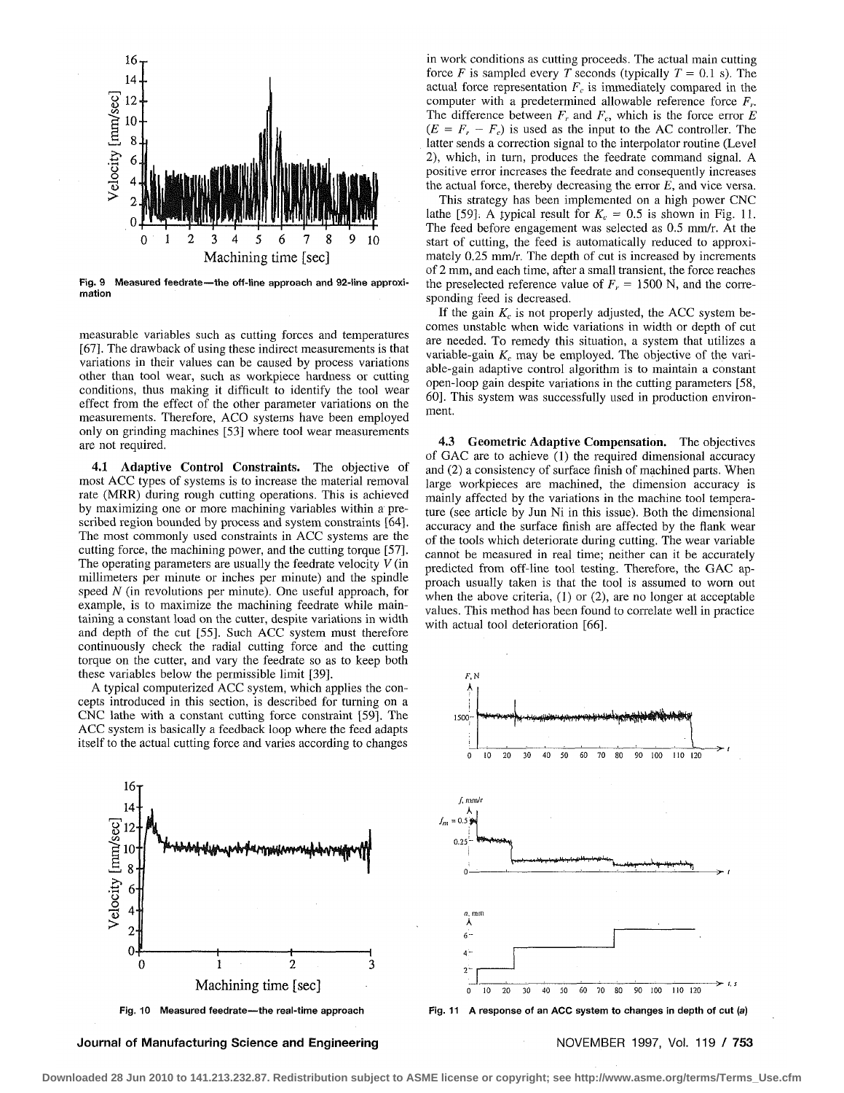

Fig. 9 Measured feedrate—the off-line approach and 92-line approximation

measurable variables such as cutting forces and temperatures [67]. The drawback of using these indirect measurements is that variations in their values can be caused by process variations other than tool wear, such as workpiece hardness or cutting conditions, thus making it difficult to identify the tool wear effect from the effect of the other parameter variations on the measurements. Therefore, ACO systems have been employed only on grinding machines [53] where tool wear measurements are not required.

**4.1 Adaptive Control Constraints.** The objective of most ACC types of systems is to increase the material removal rate (MRR) during rough cutting operations. This is achieved by maximizing one or more machining variables within a prescribed region bounded by process and system constraints [64]. The most commonly used constraints in ACC systems are the cutting force, the machining power, and the cutting torque [57]. The operating parameters are usually the feedrate velocity *V* (in millimeters per minute or inches per minute) and the spindle speed *N* (in revolutions per minute). One useful approach, for example, is to maximize the machining feedrate while maintaining a constant load on the cutter, despite variations in width and depth of the cut [55]. Such ACC system must therefore continuously check the radial cutting force and the cutting torque on the cutter, and vary the feedrate so as to keep both these variables below the permissible limit [39].

A typical computerized ACC system, which applies the concepts introduced in this section, is described for turning on a CNC lathe with a constant cutting force constraint [59]. The ACC system is basically a feedback loop where the feed adapts itself to the actual cutting force and varies according to changes



in work conditions as cutting proceeds. The actual main cutting force *F* is sampled every *T* seconds (typically  $T = 0.1$  s). The actual force representation *Fc* is immediately compared in the computer with a predetermined allowable reference force *F<sup>r</sup> .*  The difference between  $F_r$ , and  $F_c$ , which is the force error  $E$  $(E = F_r - F_c)$  is used as the input to the AC controller. The latter sends a correction signal to the interpolator routine (Level 2), which, in turn, produces the feedrate command signal. A positive error increases the feedrate and consequently increases the actual force, thereby decreasing the error *E,* and vice versa.

This strategy has been implemented on a high power CNC lathe [59]; A typical result for  $K_c = 0.5$  is shown in Fig. 11. The feed before engagement was selected as 0.5 mm/r. At the start of cutting, the feed is automatically reduced to approximately 0.25 mm/r. The depth of cut is increased by increments of 2 mm, and each time, after a small transient, the force reaches the preselected reference value of  $F_r = 1500$  N, and the corresponding feed is decreased.

If the gain *Kc* is not properly adjusted, the ACC system becomes unstable when wide variations in width or depth of cut are needed. To remedy this situation, a system that utilizes a variable-gain *Kc* may be employed. The objective of the variable-gain adaptive control algorithm is to maintain a constant open-loop gain despite variations in the cutting parameters [58, 60]. This system was successfully used in production environment.

**4.3 Geometric Adaptive Compensation.** The objectives of GAC are to achieve (1) the required dimensional accuracy and (2) a consistency of surface finish of machined parts. When large workpieces are machined, the dimension accuracy is mainly affected by the variations in the machine tool temperature (see article by Jun Ni in this issue). Both the dimensional accuracy and the surface finish are affected by the flank wear of the tools which deteriorate during cutting. The wear variable cannot be measured in real time; neither can it be accurately predicted from off-line tool testing. Therefore, the GAC approach usually taken is that the tool is assumed to worn out when the above criteria, (1) or (2), are no longer at acceptable values. This method has been found to correlate well in practice with actual tool deterioration [66].



**Journal of Manufacturing Science and Engineering NOVEMBER 1997, Vol. 119 / 753** 

**Downloaded 28 Jun 2010 to 141.213.232.87. Redistribution subject to ASME license or copyright; see http://www.asme.org/terms/Terms\_Use.cfm**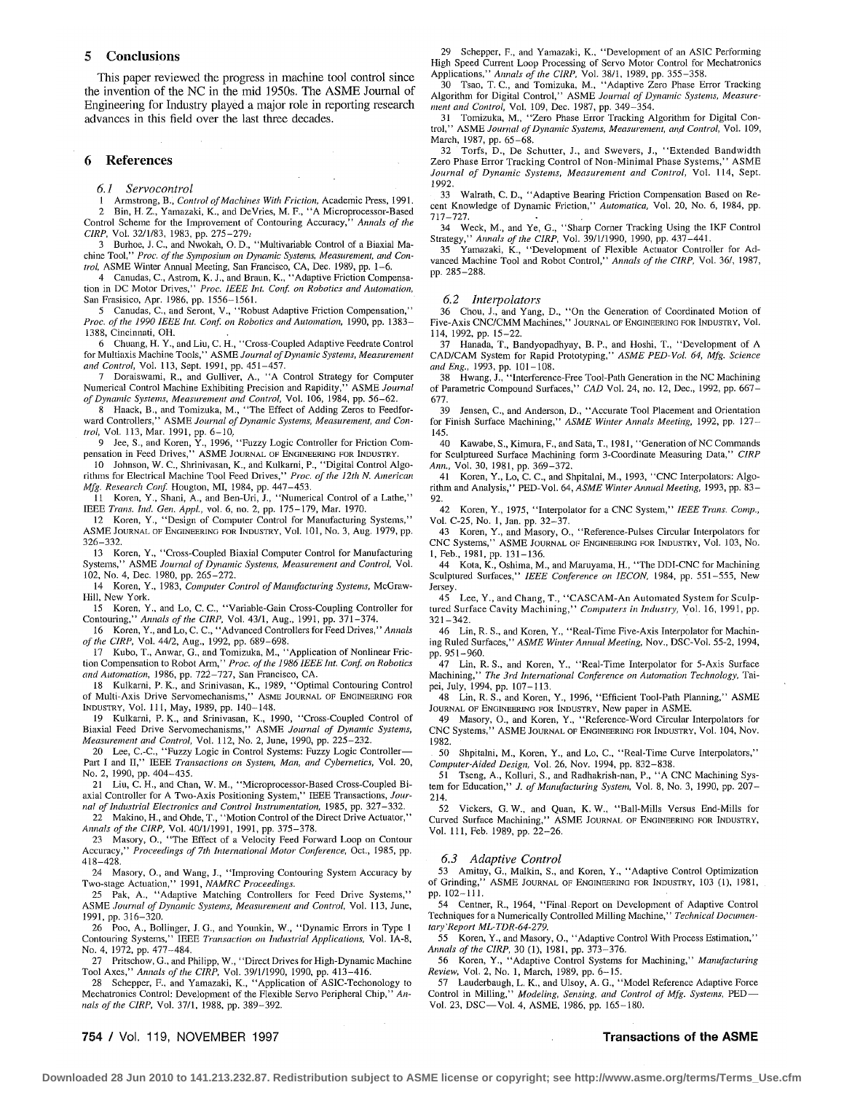# 5 **Conclusions**

This paper reviewed the progress in machine tool control since the invention of the NC in the mid 1950s. The ASME Journal of Engineering for Industry played a major role in reporting research advances in this field over the last three decades.

# **6 References**

### *6.1 Servocontrol*

1 Armstrong, B., *Control of Machines With Friction,* Academic Press, 1991. Bin, H. Z., Yamazaki, K., and DeVries, M. F., "A Microprocessor-Based Control Scheme for the Improvement of Contouring Accuracy," *Annals of the CIRP,* Vol. 32/1/83, 1983, pp. 275-279;

Burhoe, J. C., and Nwokah, O. D., "Multivariable Control of a Biaxial Machine Tool," *Proc. of the Symposium on Dynamic Systems, Measurement, and Con-*

*trol,* ASME Winter Annual Meeting, San Francisco, CA, Dec. 1989, pp. 1-6. 4 Canudas, C, Astrom, K. J., and Braun, K., "Adaptive Friction Compensation in DC Motor Drives," *Proc. IEEE Int. Conf. on Robotics and Automation,*  San Frasisico, Apr. 1986, pp. 1556-1561.

5 Canudas, C, and Seront, V., "Robust Adaptive Friction Compensation," *Proc. of the 1990 IEEE Int. Conf. on Robotics and Automation,* 1990, pp. 1383- 1388, Cincinnati, OH.

6 Chuang, H. Y., and Liu, C. H., "Cross-Coupled Adaptive Feedrate Control for Multiaxis Machine Tools," ASME *Journal of Dynamic Systems, Measurement* 

*and Control,* Vol. 113, Sept. 1991, pp. 451-457. 7 Doraiswami, R., and Gulliver, A., "A Control Strategy for Computer Numerical Control Machine Exhibiting Precision and Rapidity," ASME *Journal* 

of Dynamic Systems, Measurement and Control, Vol. 106, 1984, pp. 56–62.<br>8 Haack, B., and Tomizuka, M., "The Effect of Adding Zeros to Feedfor-<br>ward Controllers," ASME Journal of Dynamic Systems, Measurement, and Con*trol,* Vol. 113, Mar. 1991, pp. 6-10,

9 Jee, S., and Koren, Y., 1996, "Fuzzy Logic Controller for Friction Com-pensation in Feed Drives," ASME JOURNAL OF ENGINEERING FOR INDUSTRY.

10 Johnson, W. C, Shrinivasan, K., and Kulkarni, P., "Digital Control Algo-

rithms for Electrical Machine Tool Feed Drives," *Proc. of the 12th N. American Mfg. Research Conf.* Hougton, MI, 1984, pp. 447-453. 11 Koren, Y., Shani, A., and Ben-Uri, J., "Numerical Control of a Lathe," IEEE *Trans. Inch Gen. Appl,* vol. 6, no. 2, pp. 175-179, Mar. 1970.

12 Koren, Y., "Design of Computer Control for Manufacturing Systems," ASME JOURNAL OF ENGINEERING FOR INDUSTRY, Vol. 101, No. 3, Aug. 1979, pp. 326-332.

13 Koren, Y., "Cross-Coupled Biaxial Computer Control for Manufacturing Systems," ASME *Journal of Dynamic Systems, Measurement and Control,* Vol. 102, No. 4, Dec. 1980, pp. 265-272.

14 Koren, Y., 1983, *Computer Control of Manufacturing Systems,* McGraw-Hill, New York.

15 Koren, Y., and Lo, C. C, "Variable-Gain Cross-Coupling Controller for Contouring," *Annals of the CIRP,* Vol. 43/1, Aug., 1991, pp. 371-374.

16 Koren, Y., and Lo, C. C., "Advanced Controllers for Feed Drives," Annals *of the CIRP,* Vol. 44/2, Aug., 1992, pp. 689-698.

17 Kubo, T., Anwar, G., and Tomizuka, M., "Application of Nonlinear Friction Compensation to Robot Arm," *Proc. of the 1986 IEEE Int. Conf. on Robotics and Automation,* 1986, pp. 722-727, San Francisco, CA.

18 Kulkarni, P. K., and Srinivasan, K., 1989, "Optimal Contouring Control of Multi-Axis Drive Servomechanisms," ASME JOURNAL OF ENGINEERING FOR INDUSTRY, Vol. Ill , May, 1989, pp. 140-148.

19 Kulkarni, P. K., and Srinivasan, K., 1990, "Cross-Coupled Control of Biaxial Feed Drive Servomechanisms," ASME *Journal of Dynamic Systems,* 

*Measurement and Control, Vol. 112, No. 2, June, 1990, pp. 225-232.*<br>20 Lee, C.-C., "Fuzzy Logic in Control Systems: Fuzzy Logic Controller— Part I and II," IEEE *Transactions on System, Man, and Cybernetics,* Vol. 20, No. 2, 1990, pp. 404-435.

21 Liu, C. H., and Chan, W. M., "Microprocessor-Based Cross-Coupled Biaxial Controller for A Two-Axis Positioning System," IEEE Transactions, *Jour-*

*nal of Industrial Electronics and Control Instrumentation,* 1985, pp. 327-332. 22 Makino, H., and Ohde, T., ' 'Motion Control of the Direct Drive Actuator," *Annals of the CIRP,* Vol. 40/1/1991, 1991, pp. 375-378.

23 Masory, O., "The Effect of a Velocity Feed Forward Loop on Contour Accuracy," *Proceedings of 7th International Motor Conference,* Oct., 1985, pp. 418-428.

24 Masory, O., and Wang, J., "Improving Contouring System Accuracy by

Two-stage Actuation," 1991, *NAMRC Proceedings.*  25 Pak, A., "Adaptive Matching Controllers for Feed Drive Systems," ASME *Journal of Dynamic Systems, Measurement and Control,* Vol. 113, June, 1991, pp. 316-320.

26 Poo, A., Bollinger, J. G., and Younkin, W., "Dynamic Errors in Type 1 Contouring Systems," IEEE *Transaction on Industrial Applications,* Vol. IA-8, No. 4, 1972, pp. 477-484.

27 Pritschow, G., and Philipp, W.,' 'Direct Drives for High-Dynamic Machine Tool Axes," *Annals of the CIRP,* Vol. 39/1/1990, 1990, pp. 413-416.

28 Schepper, F., and Yamazaki, K., "Application of ASIC-Techonology to Mechatronics Control: Development of the Flexible Servo Peripheral Chip," *Annals of the CIRP,* Vol. 37/1, 1988, pp. 389-392.

29 Schepper, F., and Yamazaki, K., "Development of an ASIC Performing High Speed Current Loop Processing of Servo Motor Control for Mechatronics<br>Applications," *Annals of the CIRP*, Vol. 38/1, 1989, pp. 355–358.<br>30 Tsao, T. C., and Tomizuka, M., "Adaptive Zero Phase Error Tracking

Algorithm for Digital Control," ASME *Journal of Dynamic Systems, Measurement and Control,* Vol. 109, Dec. 1987, pp. 349-354.

31 Tomizuka, M., "Zero Phase Error Tracking Algorithm for Digital Con-trol," ASME *Journal of Dynamic Systems, Measurement, and Control,* Vol. 109, March, 1987, pp. 65-68.

32 Torfs, D., De Schutter, J., and Swevers, J., "Extended Bandwidth Zero Phase Error Tracking Control of Non-Minimal Phase Systems," ASME *Journal of Dynamic Systems, Measurement and Control,* Vol. 114, Sept. 1992.

33 Walrath, C. D., "Adaptive Bearing Friction Compensation Based on Recent Knowledge of Dynamic Friction," *Automatica,* Vol. 20, No. 6, 1984, pp.

717–727.<br>
34 Weck, M., and Ye, G., "Sharp Corner Tracking Using the IKF Control<br>
Strategy," Annals of the CIRP, Vol. 39/1/1990, 1990, pp. 437–441.<br>
35 Yamazaki, K., "Development of Flexible Actuator Controller for Advanced pp. 285-288.

## *6.2 Interpolators*

36 Chou, J., and Yang, D., "On the Generation of Coordinated Motion of Five-Axis CNC/CMM Machines," JOURNAL OF ENGINEERING FOR INDUSTRY, Vol. 114, 1992, pp. 15-22.

37 Hanada, T., Bandyopadhyay, B. P., and Hoshi, T., "Development of A CAD/CAM System for Rapid Prototyping," *ASME PED-Vol. 64, Mfg. Science andEng.,* 1993, pp. 101-108.

38 Hwang, J., "Interference-Free Tool-Path Generation in the NC Machining of Parametric Compound Surfaces," *CAD* Vol. 24, no. 12, Dec, 1992, pp. 667- 677.

39 Jensen, C, and Anderson, D., "Accurate Tool Placement and Orientation for Finish Surface Machining," *ASME Winter Annals Meeting,* 1992, pp. 127- 145.

40 Kawabe, S., Kimura, F., and Sata, T., 1981, "Generation of NC Commands for Sculptureed Surface Machining form 3-Coordinate Measuring Data," *CIRP* 

*Ann.,* Vol. 30, 1981, pp. 369-372. 41 Koren, Y., Lo, C. C, and Shpitalni, M., 1993, "CNC Interpolators: Algorithm and Analysis," PED-Vol. 64, *ASME Winter Annual Meeting,* 1993, pp. 83 - 92.

42 Koren, Y., 1975, "Interpolator for a CNC System," *IEEE Trans. Comp.,*  Vol. C-25, No. 1, Jan. pp. 32-37.

43 Koren, Y., and Masory, O., "Reference-Pulses Circular Interpolators for CNC Systems," ASME JOURNAL OF ENGINEERING FOR INDUSTRY, Vol. 103, No. 1, Feb., 1981, pp. 131-136.

44 Kota, K., Oshima, M., and Maruyama, H., "The DDI-CNC for Machining Sculptured Surfaces," *IEEE Conference on IECON,* 1984, pp. 551-555, New Jersey.

45 Lee, Y., and Chang, T., "CASCAM-An Automated System for Sculptured Surface Cavity Machining," *Computers in Industry,* Vol. 16, 1991, pp. 321-342.

46 Lin, R. S., and Koren, Y., "Real-Time Five-Axis Interpolator for Machining Ruled Surfaces," ASME Winter Annual Meeting, Nov., DSC-Vol. 55-2, 1994, pp. 951-960.

47 Lin, R. S., and Koren, Y., "Real-Time Interpolator for 5-Axis Surface Machining," *The 3rd International Conference on Automation Technology,* Taipei, July, 1994, pp. 107-113.

48 Lin, R. S., and Koren, Y., 1996, "Efficient Tool-Path Planning," ASME

JOURNAL OF ENGINEERING FOR INDUSTRY, New paper in ASME. 49 Masory, O., and Koren, Y., "Reference-Word Circular Interpolators for CNC Systems," ASME JOURNAL OF ENGINEERING FOR INDUSTRY, Vol. 104, Nov. 1982.

50 Shpitalni, M., Koren, Y., and Lo, C, "Real-Time Curve Interpolators," *Computer-Aided Design,* Vol. 26, Nov. 1994, pp. 832-838.

51 Tseng, A., Kolluri, S., and Radhakrish-nan, P., "A CNC Machining System for Education," *J. of Manufacturing System,* Vol. 8, No. 3, 1990, pp. 207- 214.

52 Vickers, G. W., and Quan, K. W., "Ball-Mills Versus End-Mills for Curved Surface Machining," ASME JOURNAL OF ENGINEERING FOR INDUSTRY, Vol. 111, Feb. 1989, pp. 22-26.

## *6.3 Adaptive Control*

53 Amitay, G., Malkin, S., and Koren, Y., "Adaptive Control Optimization of Grinding," ASME JOURNAL OF ENGINEERING FOR INDUSTRY, 103 (1), 1981, pp. 102-111.

54 Centner, R., 1964, "Final Report on Development of Adaptive Control Techniques for a Numerically Controlled Milling Machine," *Technical Documentary'Report ML-TDR-64-279.* 

55 Koren, Y., and Masory, O., "Adaptive Control With Process Estimation," *Annals of the CIRP,* 30 (1), 1981, pp. 373-376.

56 Koren, Y., "Adaptive Control Systems for Machining," *Manufacturing* 

Review, Vol. 2, No. 1, March, 1989, pp. 6–15.<br>57 Lauderbaugh, L. K., and Ulsoy, A. G., "Model Reference Adaptive Force<br>Control in Milling," *Modeling, Sensing, and Control of Mfg. Systems*, PED— Vol. 23, DSC—Vol. 4, ASME, 1986, pp. 165-180.

754 / Vol. 119, NOVEMBER 1997 **Transactions of the ASME**